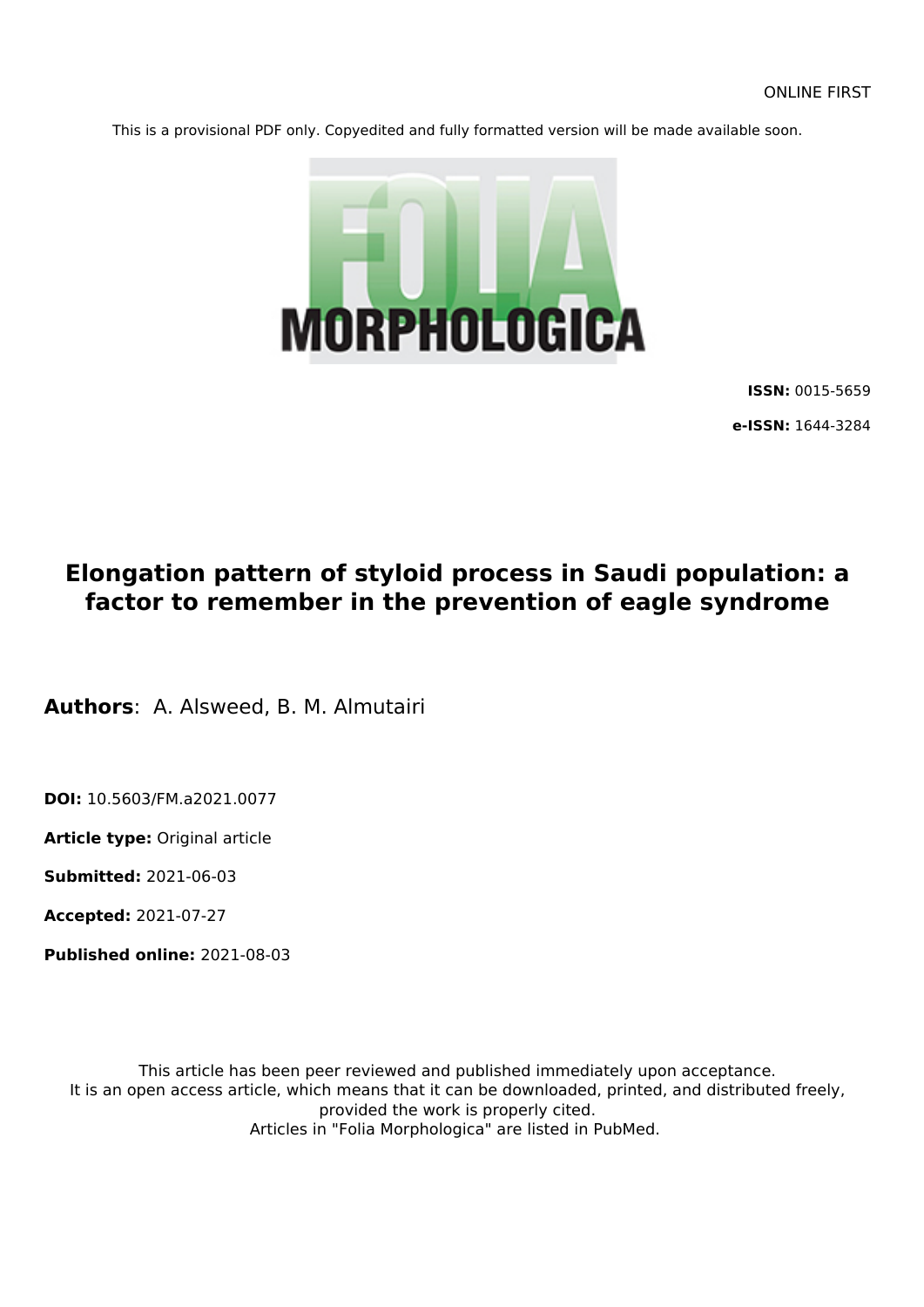This is a provisional PDF only. Copyedited and fully formatted version will be made available soon.



**ISSN:** 0015-5659

**e-ISSN:** 1644-3284

# **Elongation pattern of styloid process in Saudi population: a factor to remember in the prevention of eagle syndrome**

**Authors**: A. Alsweed, B. M. Almutairi

**DOI:** 10.5603/FM.a2021.0077

**Article type:** Original article

**Submitted:** 2021-06-03

**Accepted:** 2021-07-27

**Published online:** 2021-08-03

This article has been peer reviewed and published immediately upon acceptance. It is an open access article, which means that it can be downloaded, printed, and distributed freely, provided the work is properly cited. Articles in "Folia Morphologica" are listed in PubMed.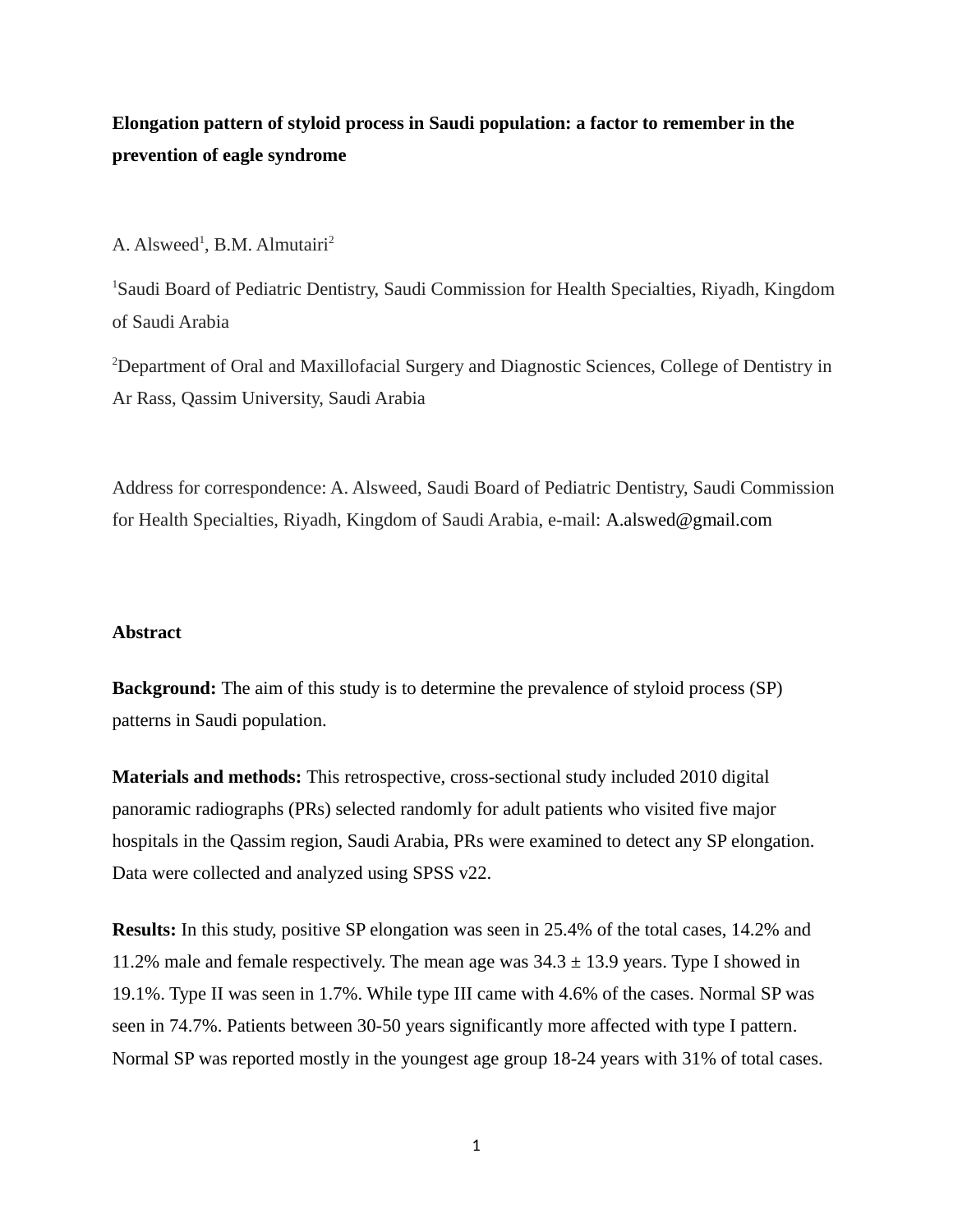# **Elongation pattern of styloid process in Saudi population: a factor to remember in the prevention of eagle syndrome**

# A. Alsweed<sup>1</sup>, B.M. Almutairi<sup>2</sup>

<sup>1</sup>Saudi Board of Pediatric Dentistry, Saudi Commission for Health Specialties, Riyadh, Kingdom of Saudi Arabia

<sup>2</sup>Department of Oral and Maxillofacial Surgery and Diagnostic Sciences, College of Dentistry in Ar Rass, Qassim University, Saudi Arabia

Address for correspondence: A. Alsweed, Saudi Board of Pediatric Dentistry, Saudi Commission for Health Specialties, Riyadh, Kingdom of Saudi Arabia, e-mail: A.alswed@gmail.com

# **Abstract**

**Background:** The aim of this study is to determine the prevalence of styloid process (SP) patterns in Saudi population.

**Materials and methods:** This retrospective, cross-sectional study included 2010 digital panoramic radiographs (PRs) selected randomly for adult patients who visited five major hospitals in the Qassim region, Saudi Arabia, PRs were examined to detect any SP elongation. Data were collected and analyzed using SPSS v22.

**Results:** In this study, positive SP elongation was seen in 25.4% of the total cases, 14.2% and 11.2% male and female respectively. The mean age was  $34.3 \pm 13.9$  years. Type I showed in 19.1%. Type II was seen in 1.7%. While type III came with 4.6% of the cases. Normal SP was seen in 74.7%. Patients between 30-50 years significantly more affected with type I pattern. Normal SP was reported mostly in the youngest age group 18-24 years with 31% of total cases.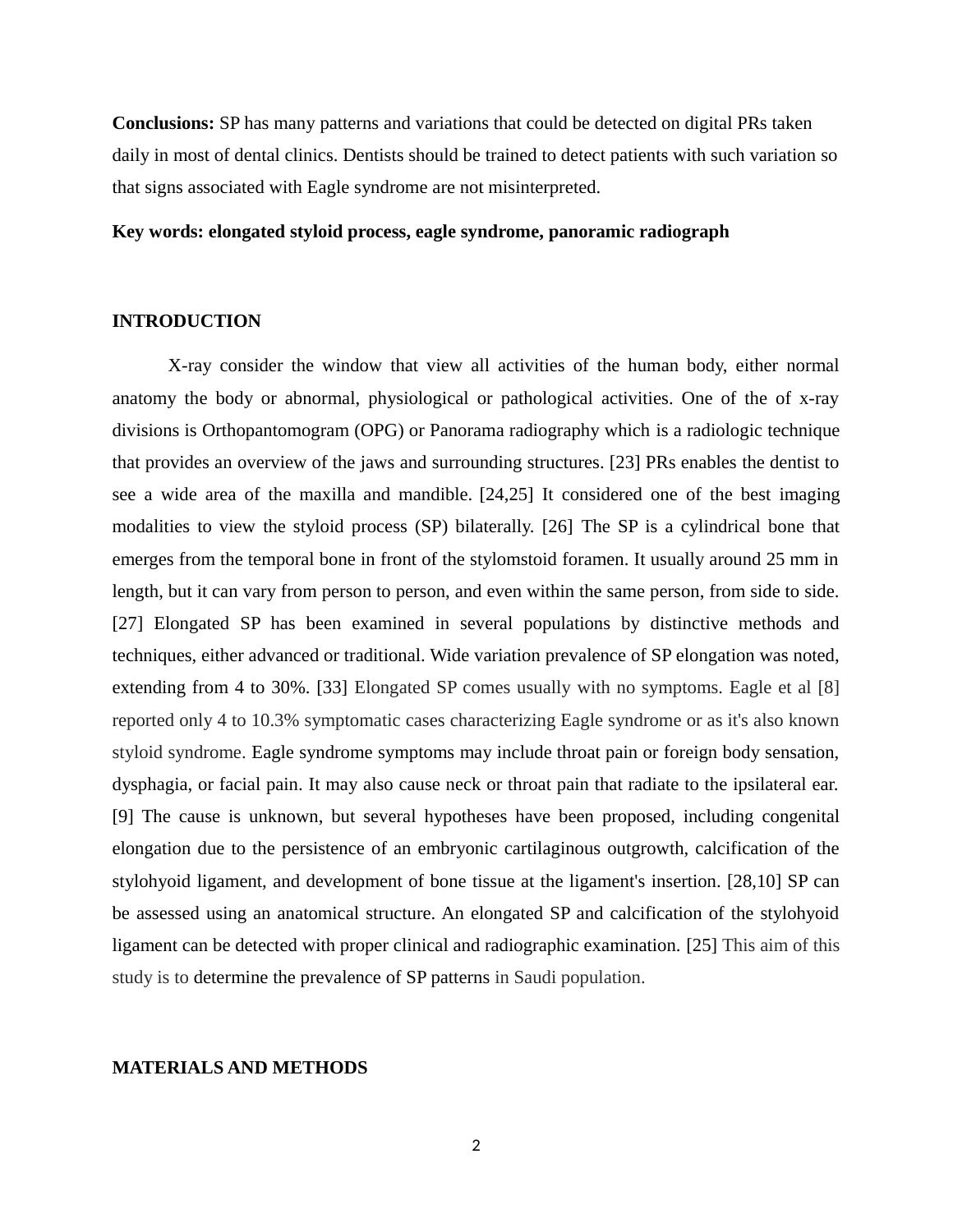**Conclusions:** SP has many patterns and variations that could be detected on digital PRs taken daily in most of dental clinics. Dentists should be trained to detect patients with such variation so that signs associated with Eagle syndrome are not misinterpreted.

#### **Key words: elongated styloid process, eagle syndrome, panoramic radiograph**

#### **INTRODUCTION**

X-ray consider the window that view all activities of the human body, either normal anatomy the body or abnormal, physiological or pathological activities. One of the of x-ray divisions is Orthopantomogram (OPG) or Panorama radiography which is a radiologic technique that provides an overview of the jaws and surrounding structures. [23] PRs enables the dentist to see a wide area of the maxilla and mandible. [24,25] It considered one of the best imaging modalities to view the styloid process (SP) bilaterally. [26] The SP is a cylindrical bone that emerges from the temporal bone in front of the stylomstoid foramen. It usually around 25 mm in length, but it can vary from person to person, and even within the same person, from side to side. [27] Elongated SP has been examined in several populations by distinctive methods and techniques, either advanced or traditional. Wide variation prevalence of SP elongation was noted, extending from 4 to 30%. [33] Elongated SP comes usually with no symptoms. Eagle et al [8] reported only 4 to 10.3% symptomatic cases characterizing Eagle syndrome or as it's also known styloid syndrome. Eagle syndrome symptoms may include throat pain or foreign body sensation, dysphagia, or facial pain. It may also cause neck or throat pain that radiate to the ipsilateral ear. [9] The cause is unknown, but several hypotheses have been proposed, including congenital elongation due to the persistence of an embryonic cartilaginous outgrowth, calcification of the stylohyoid ligament, and development of bone tissue at the ligament's insertion. [28,10] SP can be assessed using an anatomical structure. An elongated SP and calcification of the stylohyoid ligament can be detected with proper clinical and radiographic examination. [25] This aim of this study is to determine the prevalence of SP patterns in Saudi population.

#### **MATERIALS AND METHODS**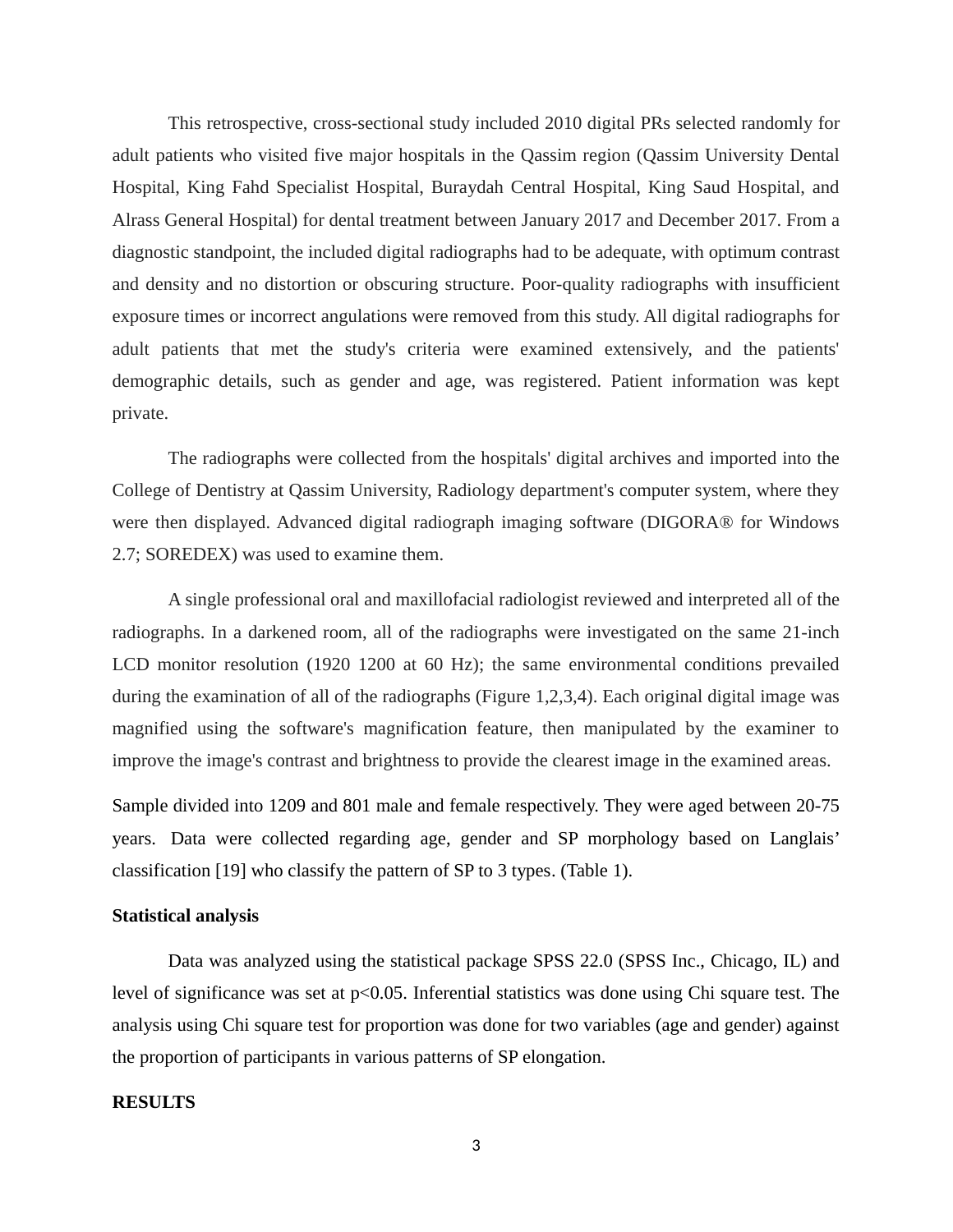This retrospective, cross-sectional study included 2010 digital PRs selected randomly for adult patients who visited five major hospitals in the Qassim region (Qassim University Dental Hospital, King Fahd Specialist Hospital, Buraydah Central Hospital, King Saud Hospital, and Alrass General Hospital) for dental treatment between January 2017 and December 2017. From a diagnostic standpoint, the included digital radiographs had to be adequate, with optimum contrast and density and no distortion or obscuring structure. Poor-quality radiographs with insufficient exposure times or incorrect angulations were removed from this study. All digital radiographs for adult patients that met the study's criteria were examined extensively, and the patients' demographic details, such as gender and age, was registered. Patient information was kept private.

The radiographs were collected from the hospitals' digital archives and imported into the College of Dentistry at Qassim University, Radiology department's computer system, where they were then displayed. Advanced digital radiograph imaging software (DIGORA® for Windows 2.7; SOREDEX) was used to examine them.

A single professional oral and maxillofacial radiologist reviewed and interpreted all of the radiographs. In a darkened room, all of the radiographs were investigated on the same 21-inch LCD monitor resolution (1920 1200 at 60 Hz); the same environmental conditions prevailed during the examination of all of the radiographs (Figure 1,2,3,4). Each original digital image was magnified using the software's magnification feature, then manipulated by the examiner to improve the image's contrast and brightness to provide the clearest image in the examined areas.

Sample divided into 1209 and 801 male and female respectively. They were aged between 20-75 years. Data were collected regarding age, gender and SP morphology based on Langlais' classification [19] who classify the pattern of SP to 3 types. (Table 1).

#### **Statistical analysis**

Data was analyzed using the statistical package SPSS 22.0 (SPSS Inc., Chicago, IL) and level of significance was set at  $p$ <0.05. Inferential statistics was done using Chi square test. The analysis using Chi square test for proportion was done for two variables (age and gender) against the proportion of participants in various patterns of SP elongation.

#### **RESULTS**

3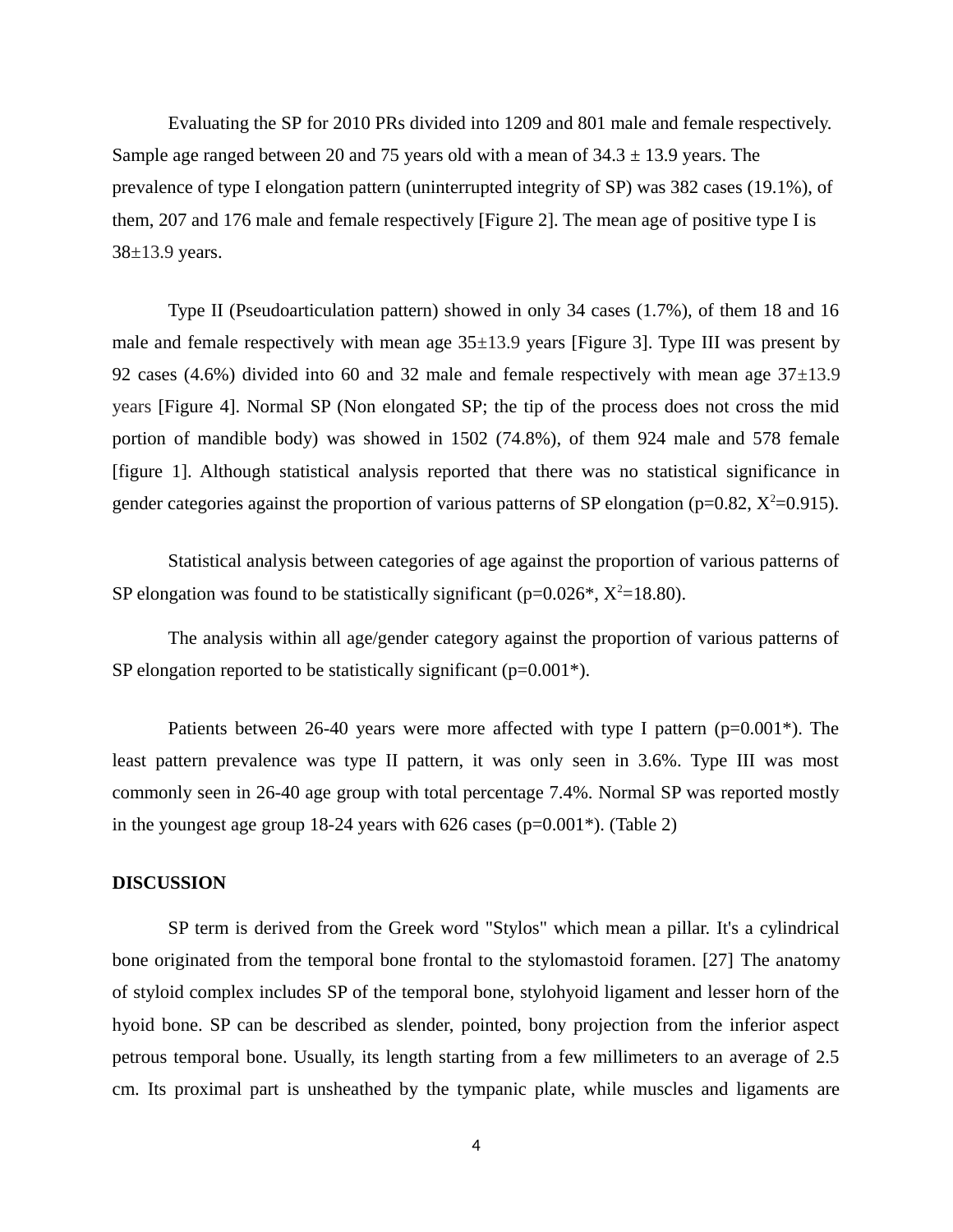Evaluating the SP for 2010 PRs divided into 1209 and 801 male and female respectively. Sample age ranged between 20 and 75 years old with a mean of  $34.3 \pm 13.9$  years. The prevalence of type I elongation pattern (uninterrupted integrity of SP) was 382 cases (19.1%), of them, 207 and 176 male and female respectively [Figure 2]. The mean age of positive type I is 38±13.9 years.

Type II (Pseudoarticulation pattern) showed in only 34 cases (1.7%), of them 18 and 16 male and female respectively with mean age  $35\pm13.9$  years [Figure 3]. Type III was present by 92 cases (4.6%) divided into 60 and 32 male and female respectively with mean age  $37\pm13.9$ years [Figure 4]. Normal SP (Non elongated SP; the tip of the process does not cross the mid portion of mandible body) was showed in 1502 (74.8%), of them 924 male and 578 female [figure 1]. Although statistical analysis reported that there was no statistical significance in gender categories against the proportion of various patterns of SP elongation ( $p=0.82$ ,  $X^2=0.915$ ).

Statistical analysis between categories of age against the proportion of various patterns of SP elongation was found to be statistically significant ( $p=0.026^*$ ,  $X^2=18.80$ ).

The analysis within all age/gender category against the proportion of various patterns of SP elongation reported to be statistically significant ( $p=0.001*$ ).

Patients between 26-40 years were more affected with type I pattern  $(p=0.001^*)$ . The least pattern prevalence was type II pattern, it was only seen in 3.6%. Type III was most commonly seen in 26-40 age group with total percentage 7.4%. Normal SP was reported mostly in the youngest age group 18-24 years with 626 cases ( $p=0.001^*$ ). (Table 2)

#### **DISCUSSION**

SP term is derived from the Greek word "Stylos" which mean a pillar. It's a cylindrical bone originated from the temporal bone frontal to the stylomastoid foramen. [27] The anatomy of styloid complex includes SP of the temporal bone, stylohyoid ligament and lesser horn of the hyoid bone. SP can be described as slender, pointed, bony projection from the inferior aspect petrous temporal bone. Usually, its length starting from a few millimeters to an average of 2.5 cm. Its proximal part is unsheathed by the tympanic plate, while muscles and ligaments are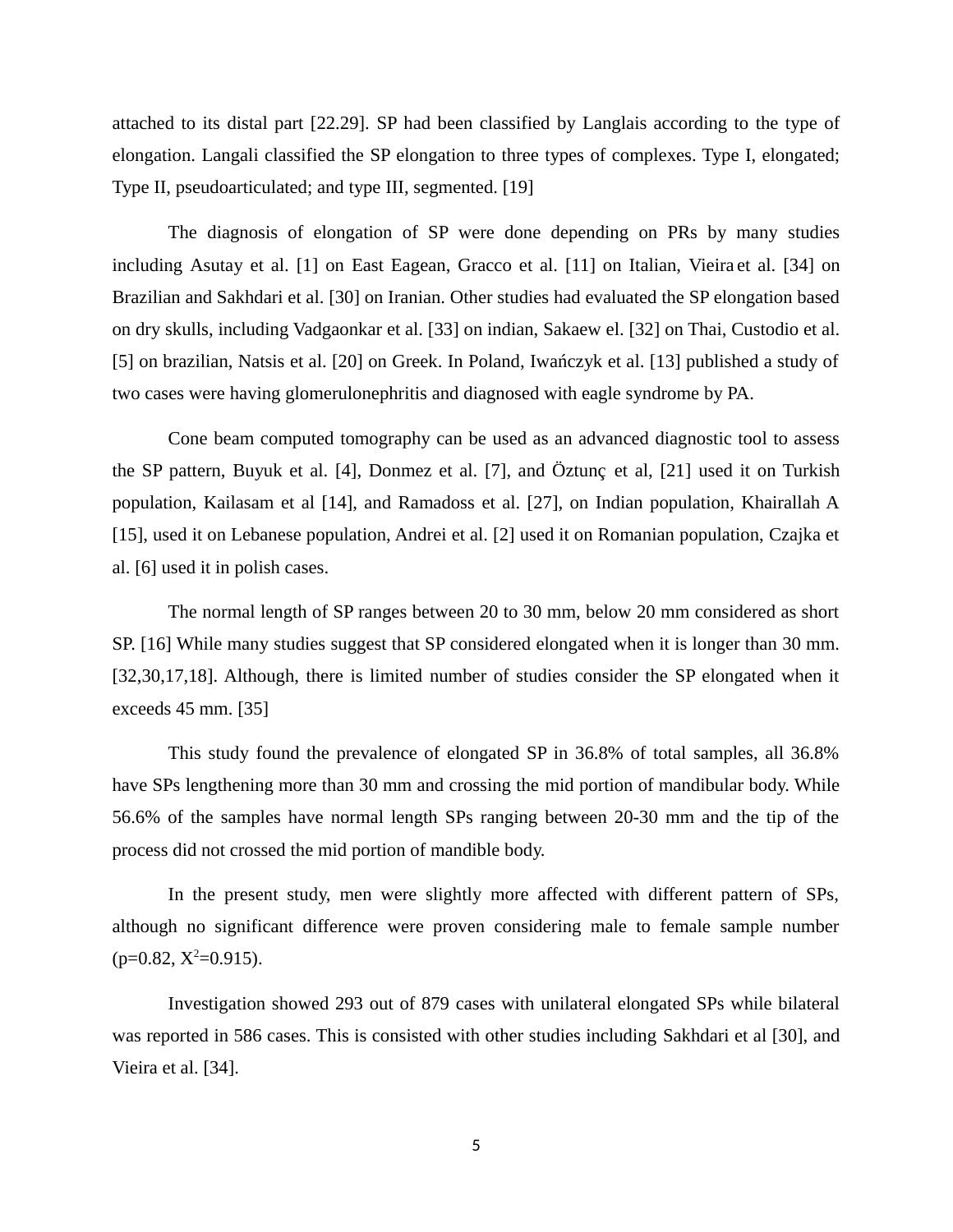attached to its distal part [22.29]. SP had been classified by Langlais according to the type of elongation. Langali classified the SP elongation to three types of complexes. Type I, elongated; Type II, pseudoarticulated; and type III, segmented. [19]

The diagnosis of elongation of SP were done depending on PRs by many studies including Asutay et al. [1] on East Eagean, Gracco et al. [11] on Italian, Vieira et al. [34] on Brazilian and Sakhdari et al. [30] on Iranian. Other studies had evaluated the SP elongation based on dry skulls, including Vadgaonkar et al. [33] on indian, Sakaew el. [32] on Thai, Custodio et al. [5] on brazilian, Natsis et al. [20] on Greek. In Poland, Iwańczyk et al. [13] published a study of two cases were having glomerulonephritis and diagnosed with eagle syndrome by PA.

Cone beam computed tomography can be used as an advanced diagnostic tool to assess the SP pattern, Buyuk et al. [4], Donmez et al. [7], and Öztunç et al, [21] used it on Turkish population, Kailasam et al [14], and Ramadoss et al. [27], on Indian population, Khairallah A [15], used it on Lebanese population, Andrei et al. [2] used it on Romanian population, Czajka et al. [6] used it in polish cases.

The normal length of SP ranges between 20 to 30 mm, below 20 mm considered as short SP. [16] While many studies suggest that SP considered elongated when it is longer than 30 mm. [32,30,17,18]. Although, there is limited number of studies consider the SP elongated when it exceeds 45 mm. [35]

This study found the prevalence of elongated SP in 36.8% of total samples, all 36.8% have SPs lengthening more than 30 mm and crossing the mid portion of mandibular body. While 56.6% of the samples have normal length SPs ranging between 20-30 mm and the tip of the process did not crossed the mid portion of mandible body.

In the present study, men were slightly more affected with different pattern of SPs, although no significant difference were proven considering male to female sample number  $(p=0.82, X^2=0.915)$ .

Investigation showed 293 out of 879 cases with unilateral elongated SPs while bilateral was reported in 586 cases. This is consisted with other studies including Sakhdari et al [30], and Vieira et al. [34].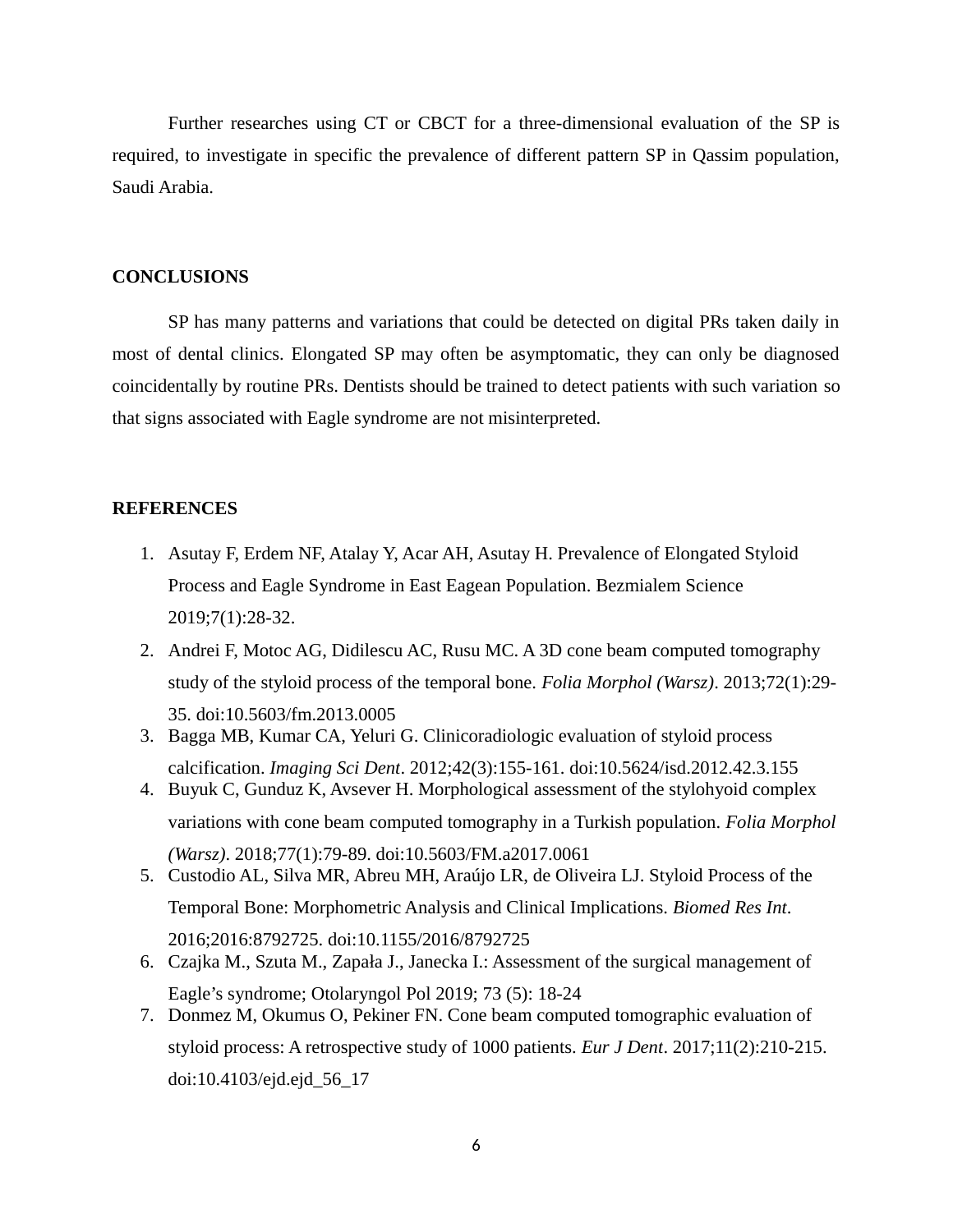Further researches using CT or CBCT for a three-dimensional evaluation of the SP is required, to investigate in specific the prevalence of different pattern SP in Qassim population, Saudi Arabia.

# **CONCLUSIONS**

SP has many patterns and variations that could be detected on digital PRs taken daily in most of dental clinics. Elongated SP may often be asymptomatic, they can only be diagnosed coincidentally by routine PRs. Dentists should be trained to detect patients with such variation so that signs associated with Eagle syndrome are not misinterpreted.

# **REFERENCES**

- 1. Asutay F, Erdem NF, Atalay Y, Acar AH, Asutay H. Prevalence of Elongated Styloid Process and Eagle Syndrome in East Eagean Population. Bezmialem Science 2019;7(1):28-32.
- 2. Andrei F, Motoc AG, Didilescu AC, Rusu MC. A 3D cone beam computed tomography study of the styloid process of the temporal bone. *Folia Morphol (Warsz)*. 2013;72(1):29- 35. doi:10.5603/fm.2013.0005
- 3. Bagga MB, Kumar CA, Yeluri G. Clinicoradiologic evaluation of styloid process calcification. *Imaging Sci Dent*. 2012;42(3):155-161. doi:10.5624/isd.2012.42.3.155 4. Buyuk C, Gunduz K, Avsever H. Morphological assessment of the stylohyoid complex
- variations with cone beam computed tomography in a Turkish population. *Folia Morphol (Warsz)*. 2018;77(1):79-89. doi:10.5603/FM.a2017.0061
- 5. Custodio AL, Silva MR, Abreu MH, Araújo LR, de Oliveira LJ. Styloid Process of the Temporal Bone: Morphometric Analysis and Clinical Implications. *Biomed Res Int*. 2016;2016:8792725. doi:10.1155/2016/8792725
- 6. Czajka M., Szuta M., Zapała J., Janecka I.: Assessment of the surgical management of Eagle's syndrome; Otolaryngol Pol 2019; 73 (5): 18-24
- 7. Donmez M, Okumus O, Pekiner FN. Cone beam computed tomographic evaluation of styloid process: A retrospective study of 1000 patients. *Eur J Dent*. 2017;11(2):210-215. doi:10.4103/ejd.ejd\_56\_17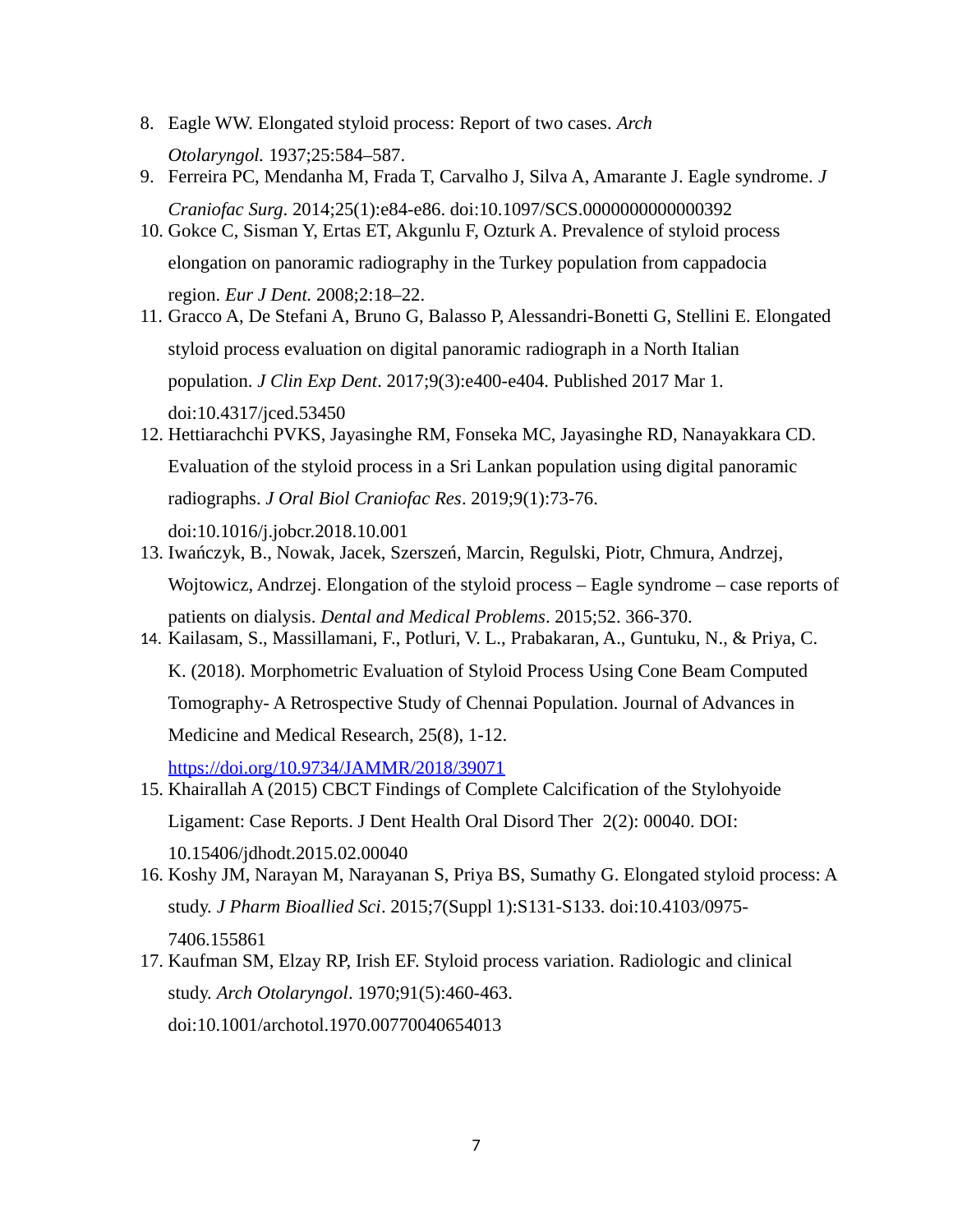- 8. Eagle WW. Elongated styloid process: Report of two cases. *Arch Otolaryngol.* 1937;25:584–587.
- 9. Ferreira PC, Mendanha M, Frada T, Carvalho J, Silva A, Amarante J. Eagle syndrome. *J Craniofac Surg*. 2014;25(1):e84-e86. doi:10.1097/SCS.0000000000000392
- 10. Gokce C, Sisman Y, Ertas ET, Akgunlu F, Ozturk A. Prevalence of styloid process elongation on panoramic radiography in the Turkey population from cappadocia region. *Eur J Dent.* 2008;2:18–22.
- 11. Gracco A, De Stefani A, Bruno G, Balasso P, Alessandri-Bonetti G, Stellini E. Elongated styloid process evaluation on digital panoramic radiograph in a North Italian population. *J Clin Exp Dent*. 2017;9(3):e400-e404. Published 2017 Mar 1. doi:10.4317/jced.53450
- 12. Hettiarachchi PVKS, Jayasinghe RM, Fonseka MC, Jayasinghe RD, Nanayakkara CD. Evaluation of the styloid process in a Sri Lankan population using digital panoramic radiographs. *J Oral Biol Craniofac Res*. 2019;9(1):73-76.

doi:10.1016/j.jobcr.2018.10.001

- 13. Iwańczyk, B., Nowak, Jacek, Szerszeń, Marcin, Regulski, Piotr, Chmura, Andrzej, Wojtowicz, Andrzej. Elongation of the styloid process – Eagle syndrome – case reports of patients on dialysis. *Dental and Medical Problems*. 2015;52. 366-370. 14. Kailasam, S., Massillamani, F., Potluri, V. L., Prabakaran, A., Guntuku, N., & Priya, C.
- K. (2018). Morphometric Evaluation of Styloid Process Using Cone Beam Computed Tomography- A Retrospective Study of Chennai Population. Journal of Advances in Medicine and Medical Research, 25(8), 1-12.

<https://doi.org/10.9734/JAMMR/2018/39071>

- 15. Khairallah A (2015) CBCT Findings of Complete Calcification of the Stylohyoide Ligament: Case Reports. J Dent Health Oral Disord Ther 2(2): 00040. DOI: 10.15406/jdhodt.2015.02.00040
- 16. Koshy JM, Narayan M, Narayanan S, Priya BS, Sumathy G. Elongated styloid process: A study. *J Pharm Bioallied Sci*. 2015;7(Suppl 1):S131-S133. doi:10.4103/0975- 7406.155861
- 17. Kaufman SM, Elzay RP, Irish EF. Styloid process variation. Radiologic and clinical study. *Arch Otolaryngol*. 1970;91(5):460-463. doi:10.1001/archotol.1970.00770040654013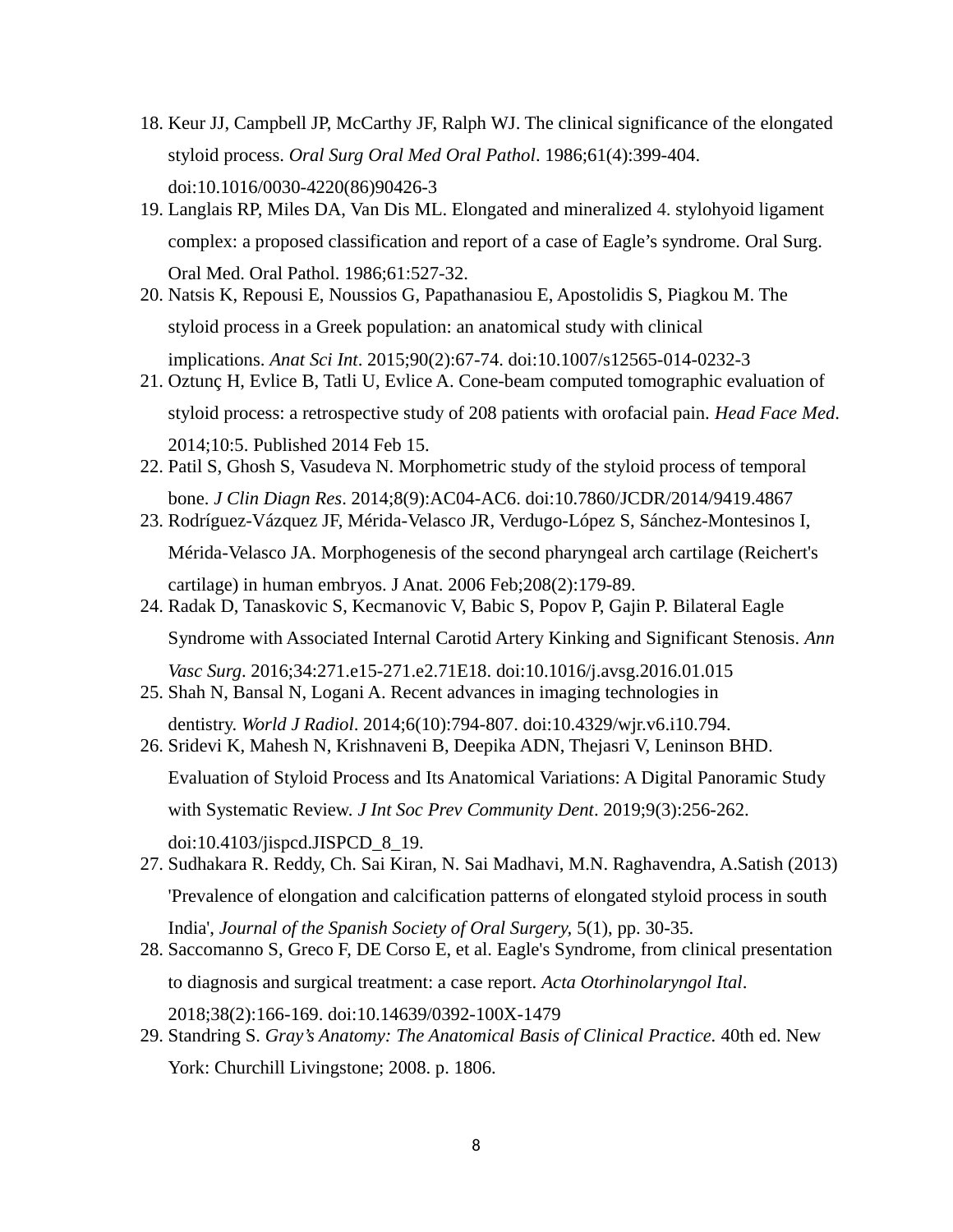- 18. Keur JJ, Campbell JP, McCarthy JF, Ralph WJ. The clinical significance of the elongated styloid process. *Oral Surg Oral Med Oral Pathol*. 1986;61(4):399-404. doi:10.1016/0030-4220(86)90426-3
- 19. Langlais RP, Miles DA, Van Dis ML. Elongated and mineralized 4. stylohyoid ligament complex: a proposed classification and report of a case of Eagle's syndrome. Oral Surg. Oral Med. Oral Pathol. 1986;61:527-32.
- 20. Natsis K, Repousi E, Noussios G, Papathanasiou E, Apostolidis S, Piagkou M. The styloid process in a Greek population: an anatomical study with clinical implications. *Anat Sci Int*. 2015;90(2):67-74. doi:10.1007/s12565-014-0232-3
- 21. Oztunç H, Evlice B, Tatli U, Evlice A. Cone-beam computed tomographic evaluation of styloid process: a retrospective study of 208 patients with orofacial pain. *Head Face Med*. 2014;10:5. Published 2014 Feb 15.
- 22. Patil S, Ghosh S, Vasudeva N. Morphometric study of the styloid process of temporal bone. *J Clin Diagn Res*. 2014;8(9):AC04-AC6. doi:10.7860/JCDR/2014/9419.4867
- 23. Rodríguez-Vázquez JF, Mérida-Velasco JR, Verdugo-López S, Sánchez-Montesinos I, Mérida-Velasco JA. Morphogenesis of the second pharyngeal arch cartilage (Reichert's cartilage) in human embryos. J Anat. 2006 Feb;208(2):179-89.
- 24. Radak D, Tanaskovic S, Kecmanovic V, Babic S, Popov P, Gajin P. Bilateral Eagle Syndrome with Associated Internal Carotid Artery Kinking and Significant Stenosis. *Ann*

*Vasc Surg*. 2016;34:271.e15-271.e2.71E18. doi:10.1016/j.avsg.2016.01.015 25. Shah N, Bansal N, Logani A. Recent advances in imaging technologies in

- dentistry. *World J Radiol*. 2014;6(10):794-807. doi:10.4329/wjr.v6.i10.794.
- 26. Sridevi K, Mahesh N, Krishnaveni B, Deepika ADN, Thejasri V, Leninson BHD. Evaluation of Styloid Process and Its Anatomical Variations: A Digital Panoramic Study with Systematic Review. *J Int Soc Prev Community Dent*. 2019;9(3):256-262. doi:10.4103/jispcd.JISPCD\_8\_19.
- 27. Sudhakara R. Reddy, Ch. Sai Kiran, N. Sai Madhavi, M.N. Raghavendra, A.Satish (2013) 'Prevalence of elongation and calcification patterns of elongated styloid process in south India', *Journal of the Spanish Society of Oral Surgery,* 5(1), pp. 30-35.
- 28. Saccomanno S, Greco F, DE Corso E, et al. Eagle's Syndrome, from clinical presentation to diagnosis and surgical treatment: a case report. *Acta Otorhinolaryngol Ital*. 2018;38(2):166-169. doi:10.14639/0392-100X-1479 29. Standring S. *Gray's Anatomy: The Anatomical Basis of Clinical Practice.* 40th ed. New
	- York: Churchill Livingstone; 2008. p. 1806.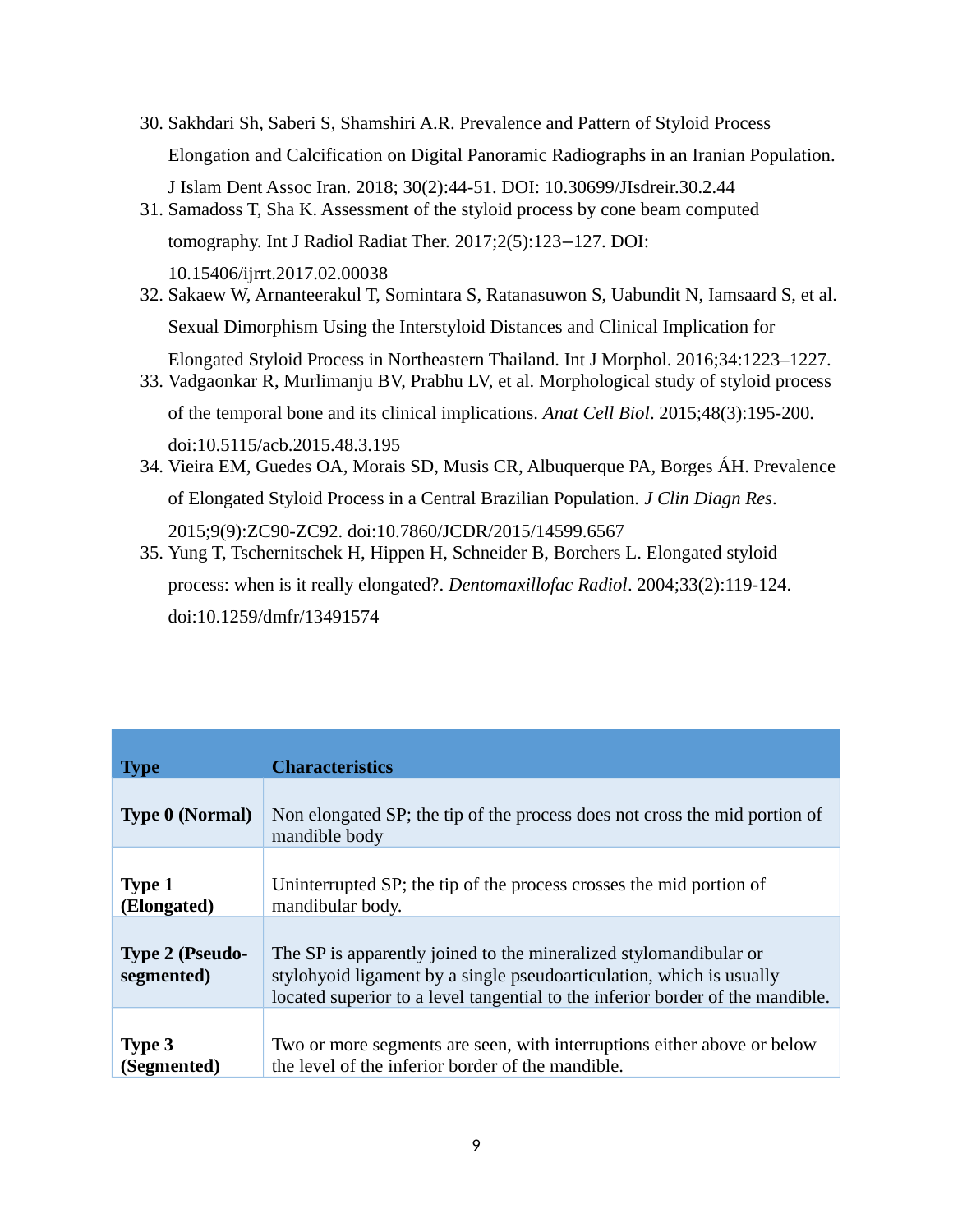- 30. Sakhdari Sh, Saberi S, Shamshiri A.R. Prevalence and Pattern of Styloid Process Elongation and Calcification on Digital Panoramic Radiographs in an Iranian Population. J Islam Dent Assoc Iran. 2018; 30(2):44-51. DOI: 10.30699/JIsdreir.30.2.44
- 31. Samadoss T, Sha K. Assessment of the styloid process by cone beam computed tomography. Int J Radiol Radiat Ther. 2017;2(5):123-127. DOI: 10.15406/ijrrt.2017.02.00038
- 32. Sakaew W, Arnanteerakul T, Somintara S, Ratanasuwon S, Uabundit N, Iamsaard S, et al. Sexual Dimorphism Using the Interstyloid Distances and Clinical Implication for Elongated Styloid Process in Northeastern Thailand. Int J Morphol. 2016;34:1223–1227. 33. Vadgaonkar R, Murlimanju BV, Prabhu LV, et al. Morphological study of styloid process

of the temporal bone and its clinical implications. *Anat Cell Biol*. 2015;48(3):195-200.

doi:10.5115/acb.2015.48.3.195

- 34. Vieira EM, Guedes OA, Morais SD, Musis CR, Albuquerque PA, Borges ÁH. Prevalence of Elongated Styloid Process in a Central Brazilian Population. *J Clin Diagn Res*. 2015;9(9):ZC90-ZC92. doi:10.7860/JCDR/2015/14599.6567
- 35. Yung T, Tschernitschek H, Hippen H, Schneider B, Borchers L. Elongated styloid process: when is it really elongated?. *Dentomaxillofac Radiol*. 2004;33(2):119-124. doi:10.1259/dmfr/13491574

| <b>Type</b>                          | <b>Characteristics</b>                                                                                                                                                                                                      |
|--------------------------------------|-----------------------------------------------------------------------------------------------------------------------------------------------------------------------------------------------------------------------------|
| <b>Type 0 (Normal)</b>               | Non elongated SP; the tip of the process does not cross the mid portion of<br>mandible body                                                                                                                                 |
| <b>Type 1</b><br>(Elongated)         | Uninterrupted SP; the tip of the process crosses the mid portion of<br>mandibular body.                                                                                                                                     |
| <b>Type 2 (Pseudo-</b><br>segmented) | The SP is apparently joined to the mineralized stylomandibular or<br>stylohyoid ligament by a single pseudoarticulation, which is usually<br>located superior to a level tangential to the inferior border of the mandible. |
| Type 3<br>(Segmented)                | Two or more segments are seen, with interruptions either above or below<br>the level of the inferior border of the mandible.                                                                                                |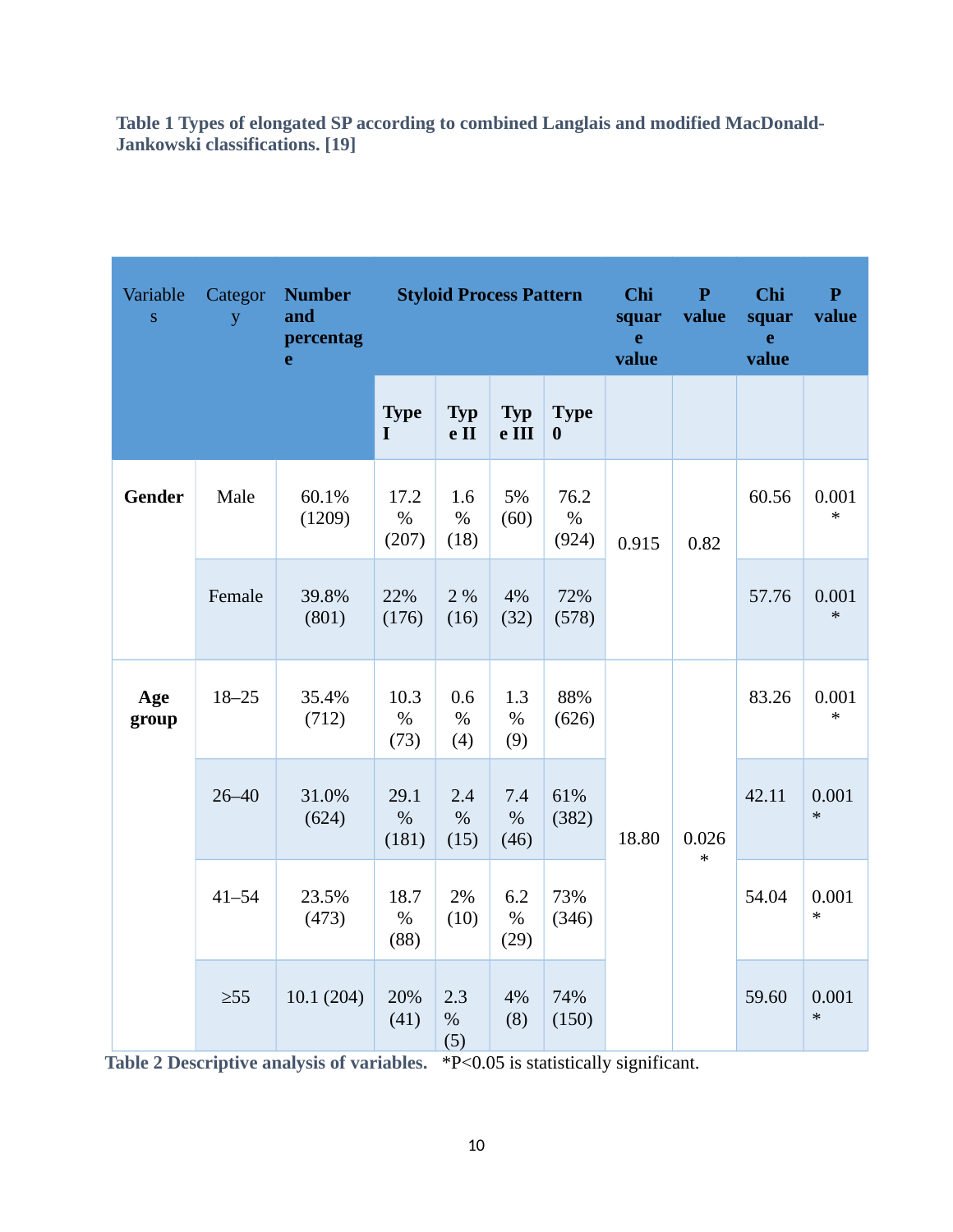**Table 1 Types of elongated SP according to combined Langlais and modified MacDonald-Jankowski classifications. [19]**

| Variable<br>$\bar{\mathbf{S}}$ | Categor<br>y | <b>Number</b><br>and<br>percentag<br>e | <b>Styloid Process Pattern</b> |                     |                     |                         | Chi<br>squar<br>$\mathbf e$<br>value | $\mathbf{P}$<br>value | Chi<br>squar<br>$\mathbf{e}$<br>value | $\mathbf{P}$<br>value |                 |                 |
|--------------------------------|--------------|----------------------------------------|--------------------------------|---------------------|---------------------|-------------------------|--------------------------------------|-----------------------|---------------------------------------|-----------------------|-----------------|-----------------|
|                                |              |                                        | <b>Type</b><br>$\mathbf I$     | <b>Typ</b><br>e II  | <b>Typ</b><br>e III | <b>Type</b><br>$\bf{0}$ |                                      |                       |                                       |                       |                 |                 |
| Gender                         | Male         | 60.1%<br>(1209)                        | 17.2<br>$\%$<br>(207)          | 1.6<br>$\%$<br>(18) | $5\%$<br>(60)       | 76.2<br>$\%$<br>(924)   | 0.915                                |                       |                                       | 0.82                  | 60.56           | 0.001<br>$\ast$ |
|                                | Female       | 39.8%<br>(801)                         | 22%<br>(176)                   | $2\%$<br>(16)       | 4%<br>(32)          | 72%<br>(578)            |                                      |                       | 57.76                                 | 0.001<br>$\ast$       |                 |                 |
| Age<br>group                   | $18 - 25$    | 35.4%<br>(712)                         | 10.3<br>$\%$<br>(73)           | 0.6<br>$\%$<br>(4)  | 1.3<br>$\%$<br>(9)  | 88%<br>(626)            | 18.80                                |                       |                                       |                       | 83.26           | 0.001<br>∗      |
|                                | $26 - 40$    | 31.0%<br>(624)                         | 29.1<br>$\%$<br>(181)          | 2.4<br>$\%$<br>(15) | 7.4<br>$\%$<br>(46) | 61%<br>(382)            |                                      |                       | 0.026<br>$\ast$                       | 42.11                 | 0.001<br>$\ast$ |                 |
|                                | $41 - 54$    | 23.5%<br>(473)                         | 18.7<br>$\%$<br>(88)           | 2%<br>(10)          | 6.2<br>$\%$<br>(29) | 73%<br>(346)            |                                      |                       | 54.04                                 | 0.001<br>$\ast$       |                 |                 |
|                                | $\geq 55$    | 10.1(204)                              | 20%<br>(41)                    | 2.3<br>$\%$<br>(5)  | 4%<br>(8)           | 74%<br>(150)            |                                      |                       | 59.60                                 | 0.001<br>$\ast$       |                 |                 |

Table 2 Descriptive analysis of variables. \*P<0.05 is statistically significant.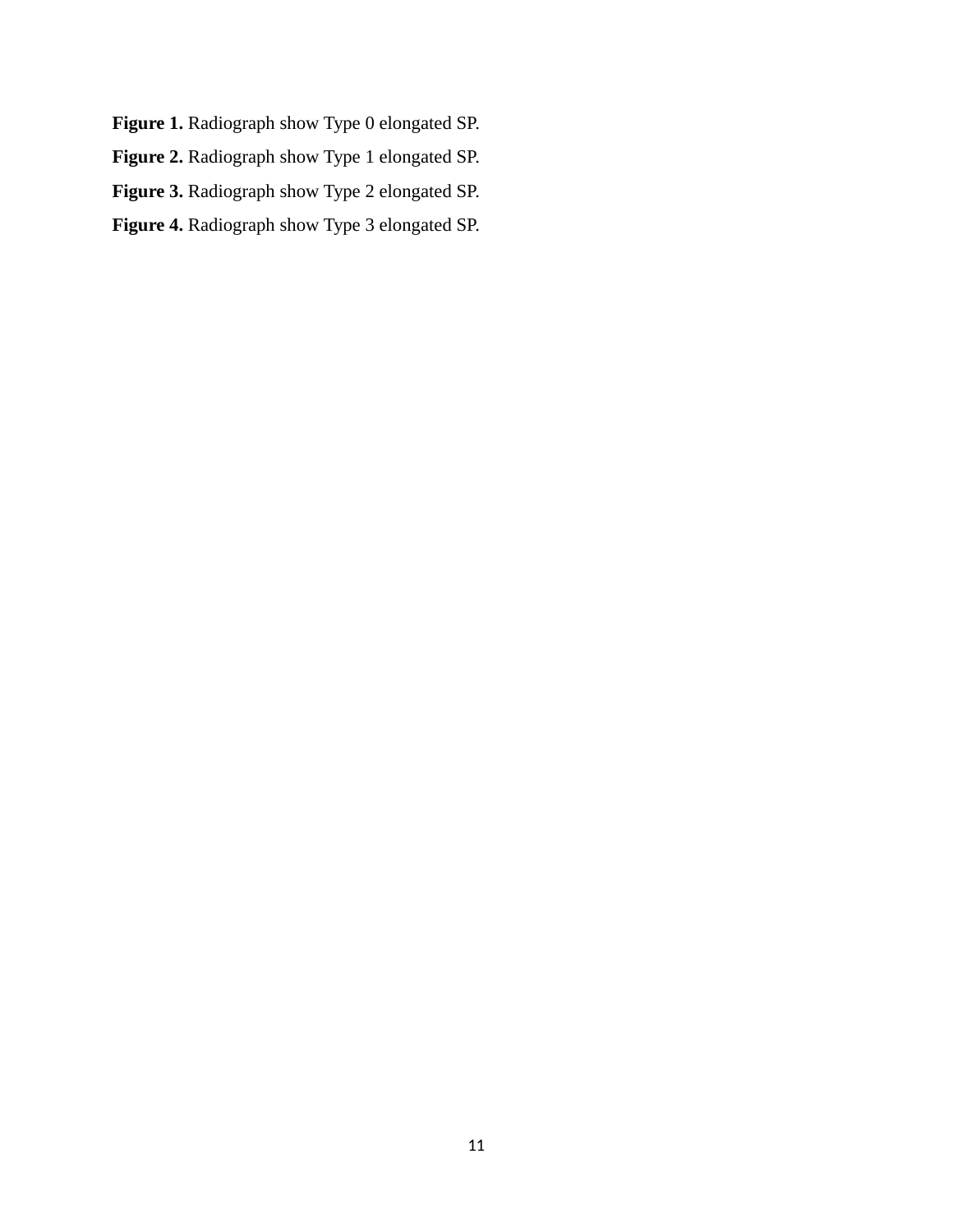**Figure 1.** Radiograph show Type 0 elongated SP.

**Figure 2.** Radiograph show Type 1 elongated SP.

**Figure 3.** Radiograph show Type 2 elongated SP.

**Figure 4.** Radiograph show Type 3 elongated SP.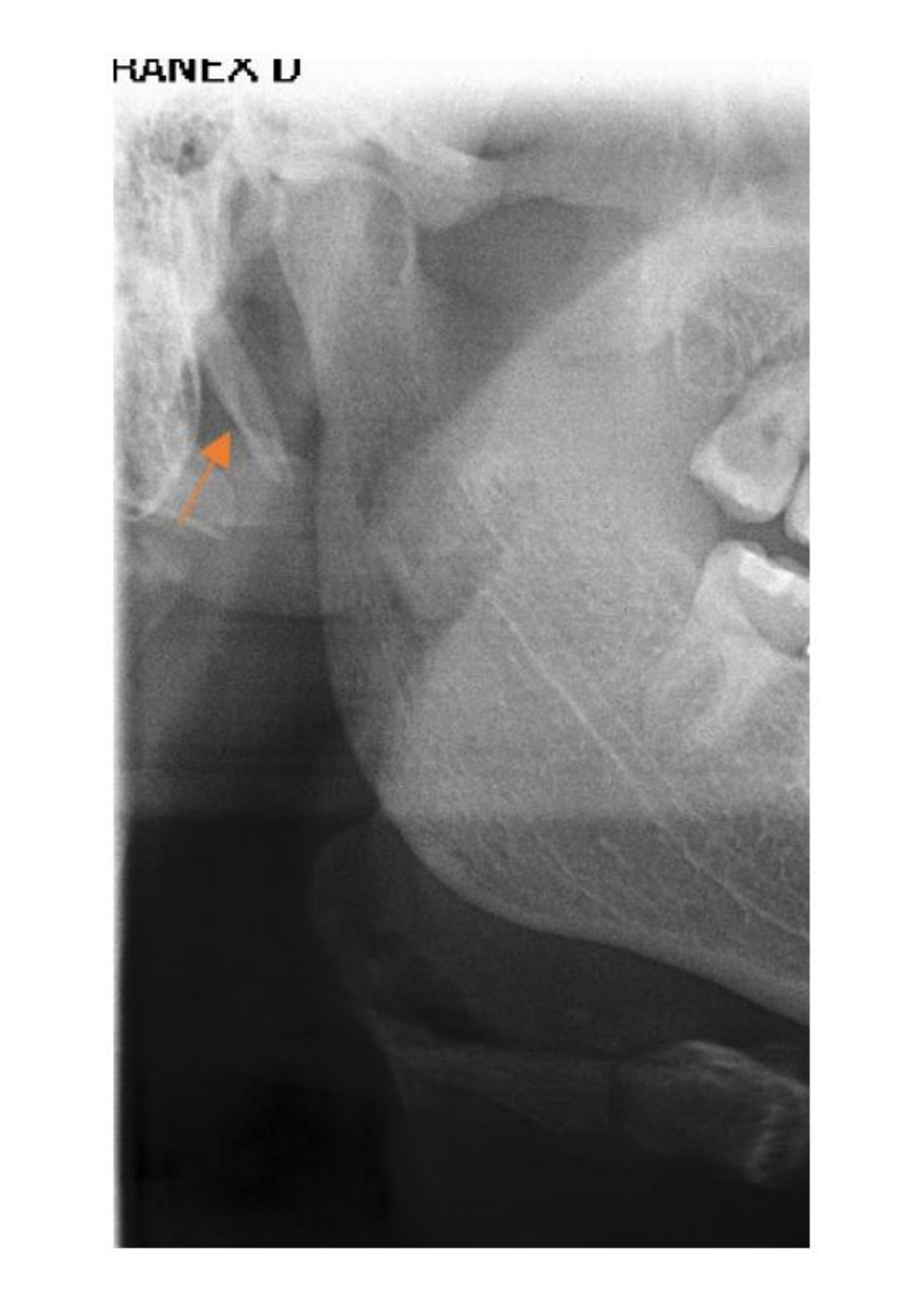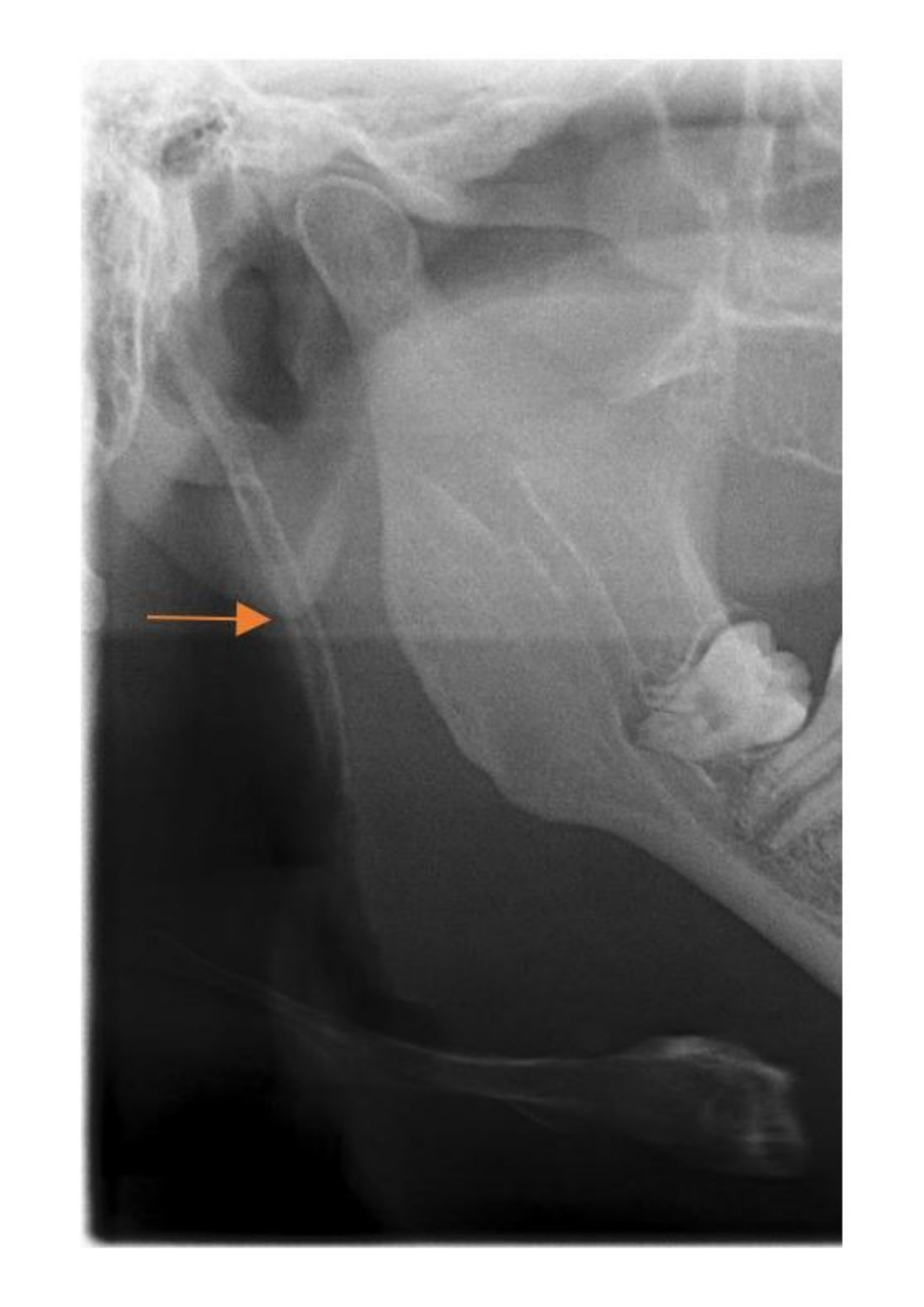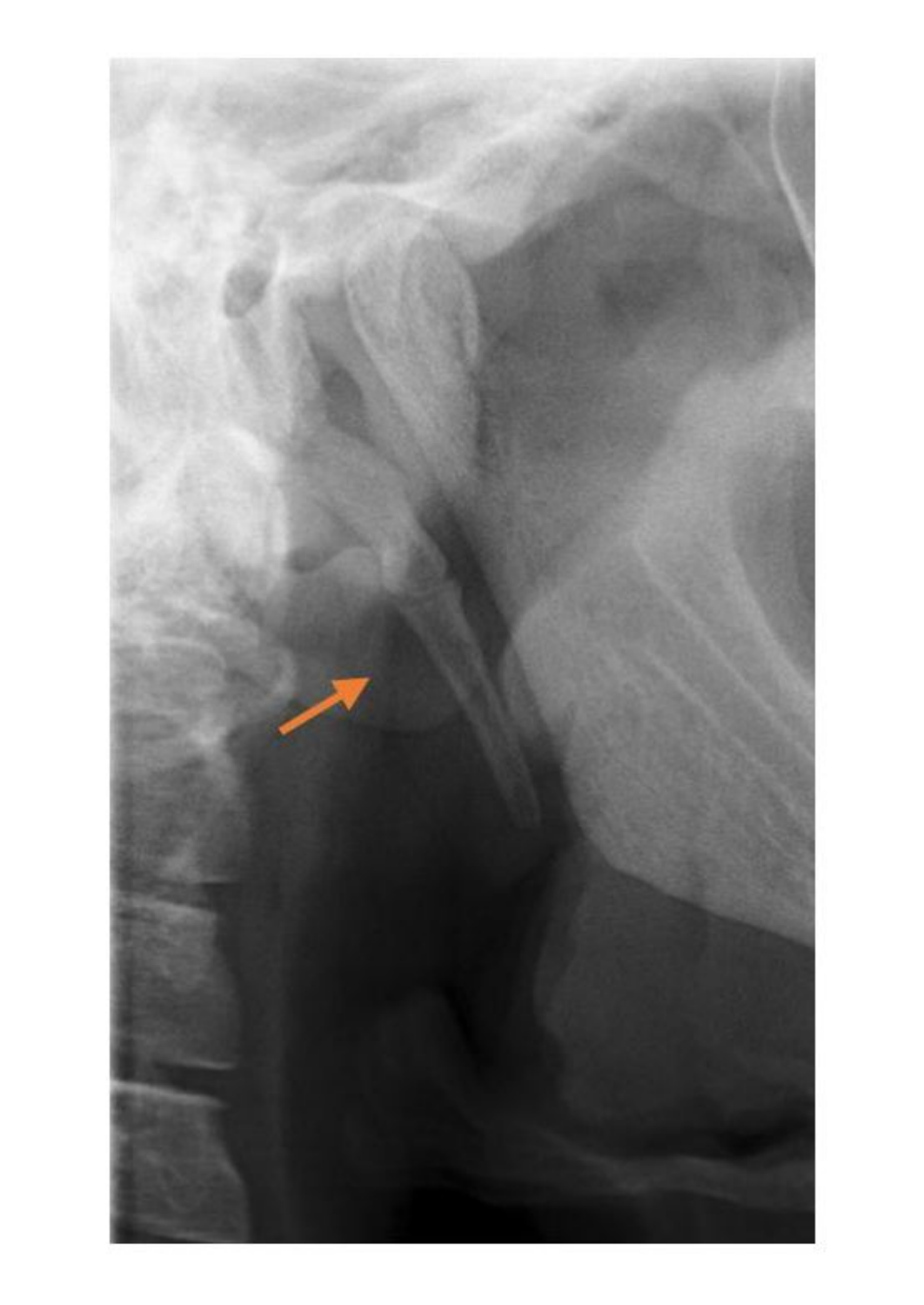